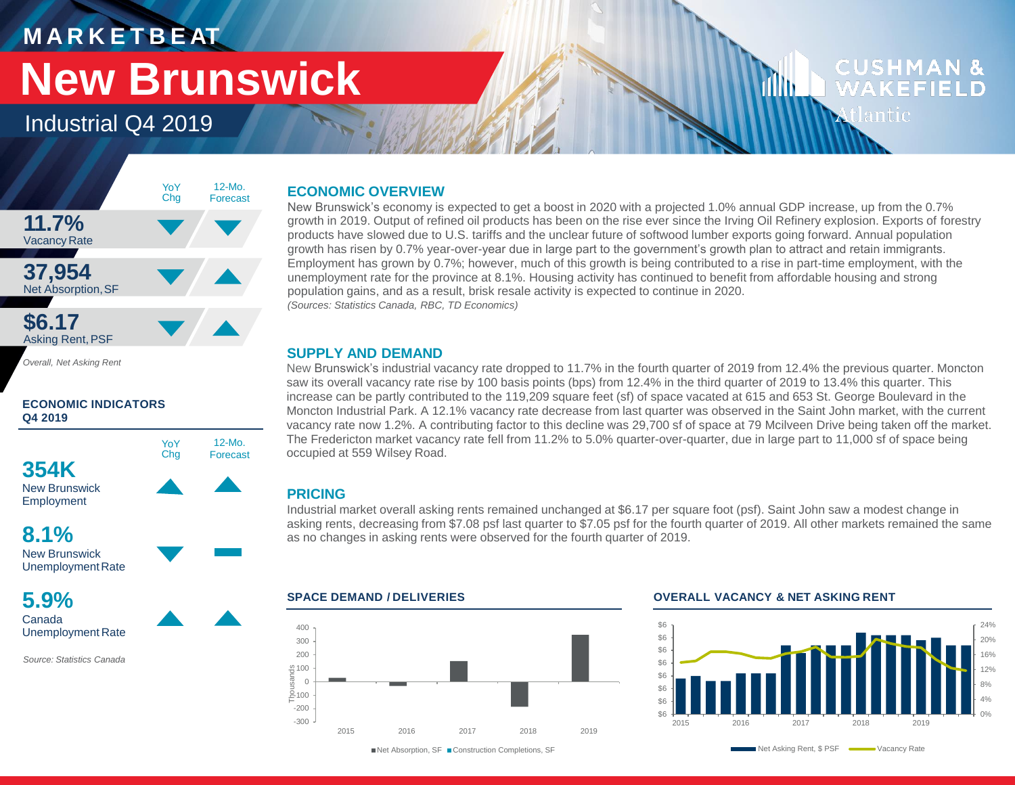### **M A R K E T B E AT**

# **New Brunswick**

Industrial Q4 2019



*Overall, Net Asking Rent*

### **ECONOMIC INDICATORS Q4 2019**



New Brunswick Unemployment Rate

**5.9%** Canada Unemployment Rate

*Source: Statistics Canada*

### **ECONOMIC OVERVIEW**

New Brunswick's economy is expected to get a boost in 2020 with a projected 1.0% annual GDP increase, up from the 0.7% growth in 2019. Output of refined oil products has been on the rise ever since the Irving Oil Refinery explosion. Exports of forestry products have slowed due to U.S. tariffs and the unclear future of softwood lumber exports going forward. Annual population growth has risen by 0.7% year-over-year due in large part to the government's growth plan to attract and retain immigrants. Employment has grown by 0.7%; however, much of this growth is being contributed to a rise in part-time employment, with the unemployment rate for the province at 8.1%. Housing activity has continued to benefit from affordable housing and strong population gains, and as a result, brisk resale activity is expected to continue in 2020. *(Sources: Statistics Canada, RBC, TD Economics)*

### **SUPPLY AND DEMAND**

New Brunswick's industrial vacancy rate dropped to 11.7% in the fourth quarter of 2019 from 12.4% the previous quarter. Moncton saw its overall vacancy rate rise by 100 basis points (bps) from 12.4% in the third quarter of 2019 to 13.4% this quarter. This increase can be partly contributed to the 119,209 square feet (sf) of space vacated at 615 and 653 St. George Boulevard in the Moncton Industrial Park. A 12.1% vacancy rate decrease from last quarter was observed in the Saint John market, with the current vacancy rate now 1.2%. A contributing factor to this decline was 29,700 sf of space at 79 Mcilveen Drive being taken off the market. The Fredericton market vacancy rate fell from 11.2% to 5.0% quarter-over-quarter, due in large part to 11,000 sf of space being occupied at 559 Wilsey Road.

### **PRICING**

Industrial market overall asking rents remained unchanged at \$6.17 per square foot (psf). Saint John saw a modest change in asking rents, decreasing from \$7.08 psf last quarter to \$7.05 psf for the fourth quarter of 2019. All other markets remained the same as no changes in asking rents were observed for the fourth quarter of 2019.



#### **SPACE DEMAND / DELIVERIES OVERALL VACANCY & NET ASKING RENT**

11 I I I



**CUSHMAN &** 

WAKEFIELD

tlantic

■Net Absorption, SF ■ Construction Completions, SF

Net Asking Rent, \$ PSF Wacancy Rate